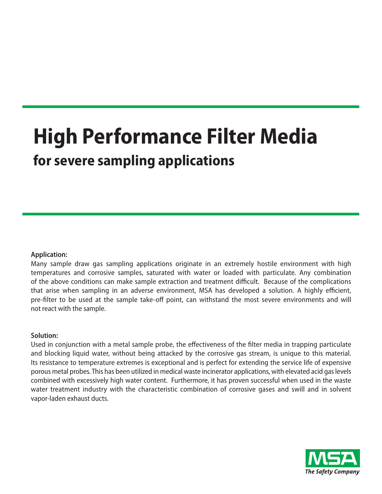# **High Performance Filter Media for severe sampling applications**

## **Application:**

Many sample draw gas sampling applications originate in an extremely hostile environment with high temperatures and corrosive samples, saturated with water or loaded with particulate. Any combination of the above conditions can make sample extraction and treatment difficult. Because of the complications that arise when sampling in an adverse environment, MSA has developed a solution. A highly efficient, pre-filter to be used at the sample take-off point, can withstand the most severe environments and will not react with the sample.

## **Solution:**

Used in conjunction with a metal sample probe, the effectiveness of the filter media in trapping particulate and blocking liquid water, without being attacked by the corrosive gas stream, is unique to this material. Its resistance to temperature extremes is exceptional and is perfect for extending the service life of expensive porous metal probes. This has been utilized in medical waste incinerator applications, with elevated acid gas levels combined with excessively high water content. Furthermore, it has proven successful when used in the waste water treatment industry with the characteristic combination of corrosive gases and swill and in solvent vapor-laden exhaust ducts.